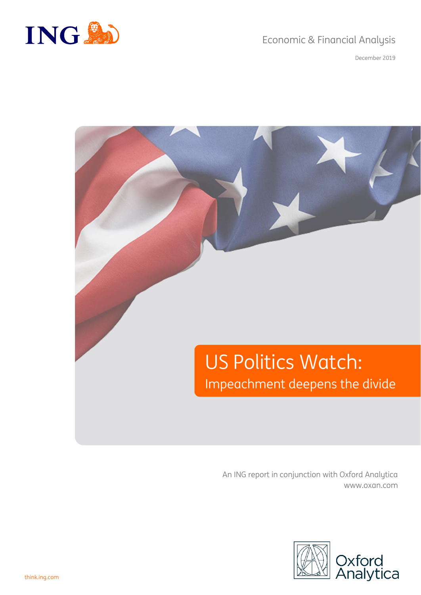# Economic & Financial Analysis



December 2019

# US Politics Watch: Impeachment deepens the divide

An ING report in conjunction with Oxford Analytica www.oxan.com

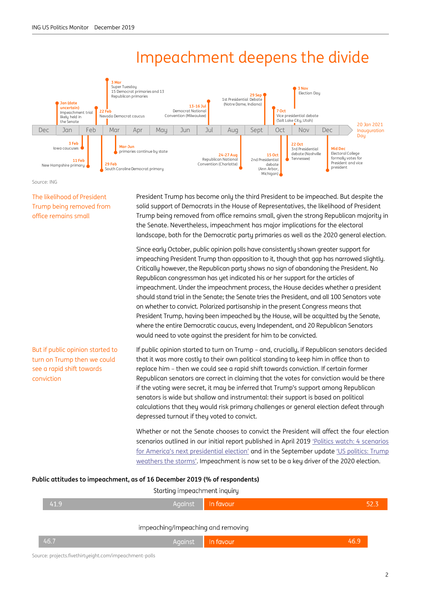# Impeachment deepens the divide



Source: ING

The likelihood of President Trump being removed from office remains small

President Trump has become only the third President to be impeached. But despite the solid support of Democrats in the House of Representatives, the likelihood of President Trump being removed from office remains small, given the strong Republican majority in the Senate. Nevertheless, impeachment has major implications for the electoral landscape, both for the Democratic party primaries as well as the 2020 general election.

Since early October, public opinion polls have consistently shown greater support for impeaching President Trump than opposition to it, though that gap has narrowed slightly. Critically however, the Republican party shows no sign of abandoning the President. No Republican congressman has yet indicated his or her support for the articles of impeachment. Under the impeachment process, the House decides whether a president should stand trial in the Senate; the Senate tries the President, and all 100 Senators vote on whether to convict. Polarized partisanship in the present Congress means that President Trump, having been impeached by the House, will be acquitted by the Senate, where the entire Democratic caucus, every Independent, and 20 Republican Senators would need to vote against the president for him to be convicted.

#### But if public opinion started to turn on Trump then we could see a rapid shift towards conviction

If public opinion started to turn on Trump – and, crucially, if Republican senators decided that it was more costly to their own political standing to keep him in office than to replace him – then we could see a rapid shift towards conviction. If certain former Republican senators are correct in claiming that the votes for conviction would be there if the voting were secret, it may be inferred that Trump's support among Republican senators is wide but shallow and instrumental: their support is based on political calculations that they would risk primary challenges or general election defeat through depressed turnout if they voted to convict.

Whether or not the Senate chooses to convict the President will affect the four election scenarios outlined in our initial report published in April 2019 'Politics watch: 4 scenarios [for America's next presidential election'](https://think.ing.com/articles/us-politics-watch-4-scenarios-for-2020/) and in the September update 'US politics: Trump [weathers the storms'](https://think.ing.com/articles/us-politics-trump-weathers-the-storms/). Impeachment is now set to be a key driver of the 2020 election.

#### **Public attitudes to impeachment, as of 16 December 2019 (% of respondents)**

| In favour<br>41.9<br>Against         | 52.3 |
|--------------------------------------|------|
| impeaching/Impeaching and removing   |      |
| 46.7<br>46.9<br>Against<br>In favour |      |

Source: projects.fivethirtueight.com/impeachment-polls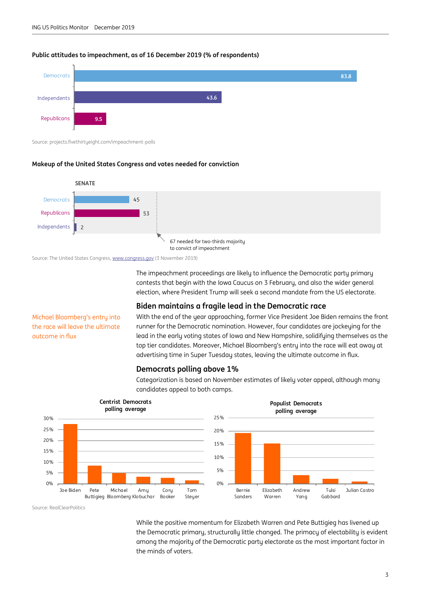#### **Public attitudes to impeachment, as of 16 December 2019 (% of respondents)**



Source: projects.fivethirtyeight.com/impeachment-polls

#### **Makeup of the United States Congress and votes needed for conviction**



Source: The United States Congress[, www.congress.gov](http://www.congress.gov/) (3 November 2019)

The impeachment proceedings are likely to influence the Democratic party primary contests that begin with the Iowa Caucus on 3 February, and also the wider general election, where President Trump will seek a second mandate from the US electorate.

#### **Biden maintains a fragile lead in the Democratic race**

Michael Bloomberg's entry into the race will leave the ultimate outcome in flux

With the end of the year approaching, former Vice President Joe Biden remains the front runner for the Democratic nomination. However, four candidates are jockeying for the lead in the early voting states of Iowa and New Hampshire, solidifying themselves as the top tier candidates. Moreover, Michael Bloomberg's entry into the race will eat away at advertising time in Super Tuesday states, leaving the ultimate outcome in flux.

#### **Democrats polling above 1%**

Categorization is based on November estimates of likely voter appeal, although many candidates appeal to both camps.



Source: RealClearPolitics

While the positive momentum for Elizabeth Warren and Pete Buttigieg has livened up the Democratic primary, structurally little changed. The primacy of electability is evident among the majority of the Democratic party electorate as the most important factor in the minds of voters.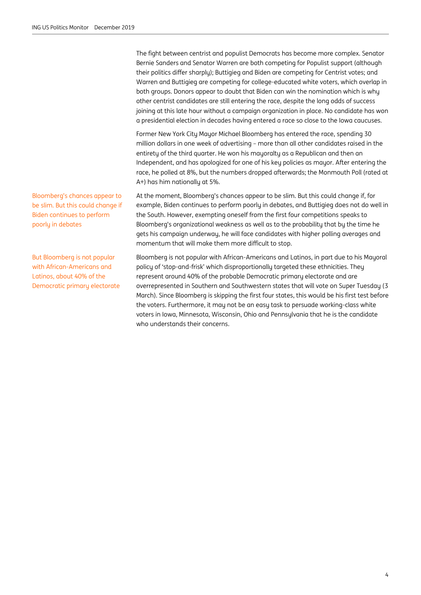The fight between centrist and populist Democrats has become more complex. Senator Bernie Sanders and Senator Warren are both competing for Populist support (although their politics differ sharply); Buttigieg and Biden are competing for Centrist votes; and Warren and Buttigieg are competing for college-educated white voters, which overlap in both groups. Donors appear to doubt that Biden can win the nomination which is why other centrist candidates are still entering the race, despite the long odds of success joining at this late hour without a campaign organization in place. No candidate has won a presidential election in decades having entered a race so close to the Iowa caucuses.

Former New York City Mayor Michael Bloomberg has entered the race, spending 30 million dollars in one week of advertising – more than all other candidates raised in the entirety of the third quarter. He won his mayoralty as a Republican and then an Independent, and has apologized for one of his key policies as mayor. After entering the race, he polled at 8%, but the numbers dropped afterwards; the Monmouth Poll (rated at A+) has him nationally at 5%.

At the moment, Bloomberg's chances appear to be slim. But this could change if, for example, Biden continues to perform poorly in debates, and Buttigieg does not do well in the South. However, exempting oneself from the first four competitions speaks to Bloomberg's organizational weakness as well as to the probability that by the time he gets his campaign underway, he will face candidates with higher polling averages and momentum that will make them more difficult to stop.

Bloomberg is not popular with African-Americans and Latinos, in part due to his Mayoral policy of 'stop-and-frisk' which disproportionally targeted these ethnicities. They represent around 40% of the probable Democratic primary electorate and are overrepresented in Southern and Southwestern states that will vote on Super Tuesday (3 March). Since Bloomberg is skipping the first four states, this would be his first test before the voters. Furthermore, it may not be an easy task to persuade working-class white voters in Iowa, Minnesota, Wisconsin, Ohio and Pennsylvania that he is the candidate who understands their concerns.

Bloomberg's chances appear to be slim. But this could change if Biden continues to perform poorly in debates

But Bloomberg is not popular with African-Americans and Latinos, about 40% of the Democratic primary electorate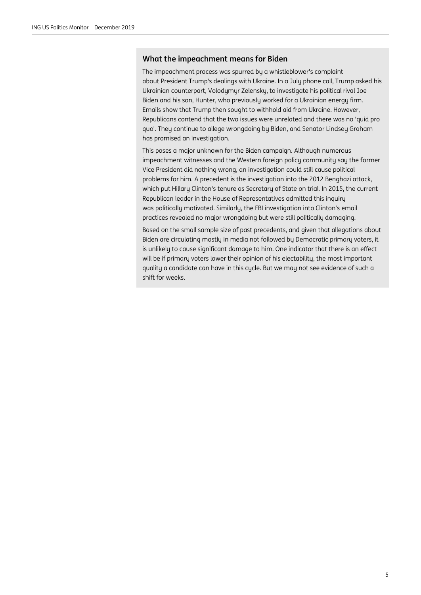#### **What the impeachment means for Biden**

The impeachment process was spurred by a whistleblower's complaint about President Trump's dealings with Ukraine. In a July phone call, Trump asked his Ukrainian counterpart, Volodymyr Zelensky, to investigate his political rival Joe Biden and his son, Hunter, who previously worked for a Ukrainian energy firm. Emails show that Trump then sought to withhold aid from Ukraine. However, Republicans contend that the two issues were unrelated and there was no 'quid pro quo'. They continue to allege wrongdoing by Biden, and Senator Lindsey Graham has promised an investigation.

This poses a major unknown for the Biden campaign. Although numerous impeachment witnesses and the Western foreign policy community say the former Vice President did nothing wrong, an investigation could still cause political problems for him. A precedent is the investigation into the 2012 Benghazi attack, which put Hillary Clinton's tenure as Secretary of State on trial. In 2015, the current Republican leader in the House of Representatives admitted this inquiry was politically motivated. Similarly, the FBI investigation into Clinton's email practices revealed no major wrongdoing but were still politically damaging.

Based on the small sample size of past precedents, and given that allegations about Biden are circulating mostly in media not followed by Democratic primary voters, it is unlikely to cause significant damage to him. One indicator that there is an effect will be if primary voters lower their opinion of his electability, the most important quality a candidate can have in this cycle. But we may not see evidence of such a shift for weeks.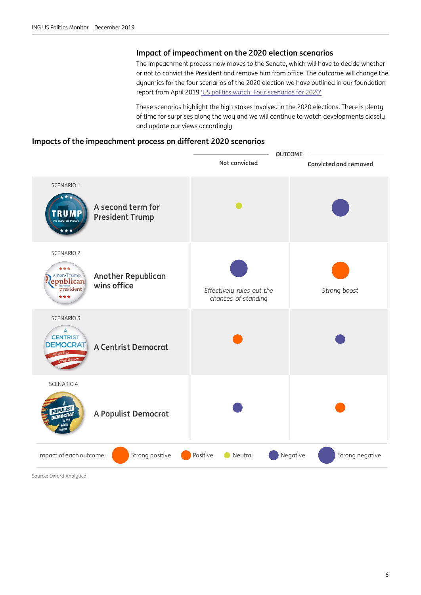#### **Impact of impeachment on the 2020 election scenarios**

The impeachment process now moves to the Senate, which will have to decide whether or not to convict the President and remove him from office. The outcome will change the dynamics for the four scenarios of the 2020 election we have outlined in our foundation report from April 2019 ['US politics watch: Four scenarios for 2020'](https://think.ing.com/articles/us-politics-watch-four-scenarios-for-2020-15-04-19/)

These scenarios highlight the high stakes involved in the 2020 elections. There is plenty of time for surprises along the way and we will continue to watch developments closely and update our views accordingly.

#### **Impacts of the impeachment process on different 2020 scenarios**



Source: Oxford Analytica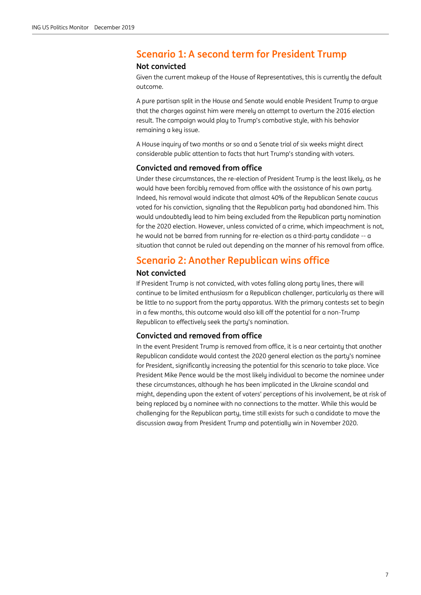# **Scenario 1: A second term for President Trump**

#### **Not convicted**

Given the current makeup of the House of Representatives, this is currently the default outcome.

A pure partisan split in the House and Senate would enable President Trump to argue that the charges against him were merely an attempt to overturn the 2016 election result. The campaign would play to Trump's combative style, with his behavior remaining a key issue.

A House inquiry of two months or so and a Senate trial of six weeks might direct considerable public attention to facts that hurt Trump's standing with voters.

#### **Convicted and removed from office**

Under these circumstances, the re-election of President Trump is the least likely, as he would have been forcibly removed from office with the assistance of his own party. Indeed, his removal would indicate that almost 40% of the Republican Senate caucus voted for his conviction, signaling that the Republican party had abandoned him. This would undoubtedly lead to him being excluded from the Republican party nomination for the 2020 election. However, unless convicted of a crime, which impeachment is not, he would not be barred from running for re-election as a third-party candidate -- a situation that cannot be ruled out depending on the manner of his removal from office.

### **Scenario 2: Another Republican wins office**

#### **Not convicted**

If President Trump is not convicted, with votes falling along party lines, there will continue to be limited enthusiasm for a Republican challenger, particularly as there will be little to no support from the party apparatus. With the primary contests set to begin in a few months, this outcome would also kill off the potential for a non-Trump Republican to effectively seek the party's nomination.

#### **Convicted and removed from office**

In the event President Trump is removed from office, it is a near certainty that another Republican candidate would contest the 2020 general election as the party's nominee for President, significantly increasing the potential for this scenario to take place. Vice President Mike Pence would be the most likely individual to become the nominee under these circumstances, although he has been implicated in the Ukraine scandal and might, depending upon the extent of voters' perceptions of his involvement, be at risk of being replaced by a nominee with no connections to the matter. While this would be challenging for the Republican party, time still exists for such a candidate to move the discussion away from President Trump and potentially win in November 2020.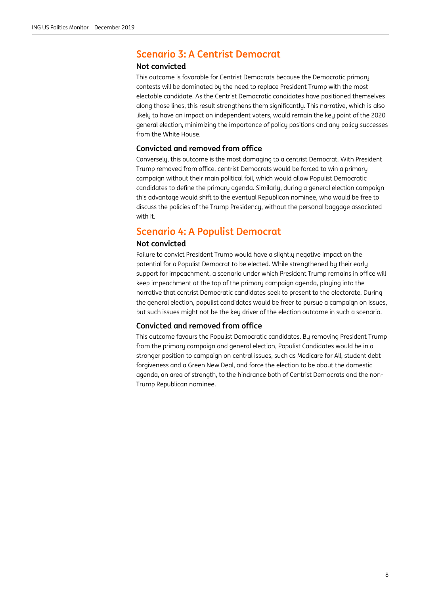# **Scenario 3: A Centrist Democrat**

#### **Not convicted**

This outcome is favorable for Centrist Democrats because the Democratic primary contests will be dominated by the need to replace President Trump with the most electable candidate. As the Centrist Democratic candidates have positioned themselves along those lines, this result strengthens them significantly. This narrative, which is also likely to have an impact on independent voters, would remain the key point of the 2020 general election, minimizing the importance of policy positions and any policy successes from the White House.

#### **Convicted and removed from office**

Conversely, this outcome is the most damaging to a centrist Democrat. With President Trump removed from office, centrist Democrats would be forced to win a primary campaign without their main political foil, which would allow Populist Democratic candidates to define the primary agenda. Similarly, during a general election campaign this advantage would shift to the eventual Republican nominee, who would be free to discuss the policies of the Trump Presidency, without the personal baggage associated with it.

# **Scenario 4: A Populist Democrat**

#### **Not convicted**

Failure to convict President Trump would have a slightly negative impact on the potential for a Populist Democrat to be elected. While strengthened by their early support for impeachment, a scenario under which President Trump remains in office will keep impeachment at the top of the primary campaign agenda, playing into the narrative that centrist Democratic candidates seek to present to the electorate. During the general election, populist candidates would be freer to pursue a campaign on issues, but such issues might not be the key driver of the election outcome in such a scenario.

#### **Convicted and removed from office**

This outcome favours the Populist Democratic candidates. By removing President Trump from the primary campaign and general election, Populist Candidates would be in a stronger position to campaign on central issues, such as Medicare for All, student debt forgiveness and a Green New Deal, and force the election to be about the domestic agenda, an area of strength, to the hindrance both of Centrist Democrats and the non-Trump Republican nominee.